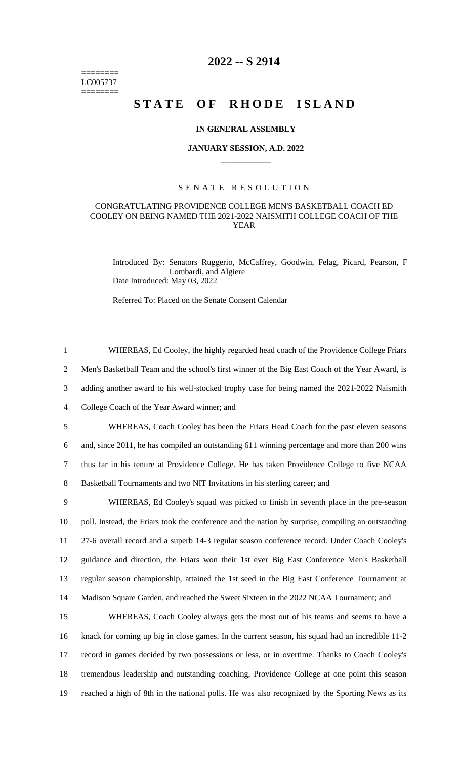======== LC005737 ========

# **2022 -- S 2914**

# **STATE OF RHODE ISLAND**

### **IN GENERAL ASSEMBLY**

#### **JANUARY SESSION, A.D. 2022 \_\_\_\_\_\_\_\_\_\_\_\_**

#### S E N A T E R E S O L U T I O N

## CONGRATULATING PROVIDENCE COLLEGE MEN'S BASKETBALL COACH ED COOLEY ON BEING NAMED THE 2021-2022 NAISMITH COLLEGE COACH OF THE YEAR

Introduced By: Senators Ruggerio, McCaffrey, Goodwin, Felag, Picard, Pearson, F Lombardi, and Algiere Date Introduced: May 03, 2022

Referred To: Placed on the Senate Consent Calendar

 WHEREAS, Ed Cooley, the highly regarded head coach of the Providence College Friars Men's Basketball Team and the school's first winner of the Big East Coach of the Year Award, is adding another award to his well-stocked trophy case for being named the 2021-2022 Naismith College Coach of the Year Award winner; and WHEREAS, Coach Cooley has been the Friars Head Coach for the past eleven seasons and, since 2011, he has compiled an outstanding 611 winning percentage and more than 200 wins thus far in his tenure at Providence College. He has taken Providence College to five NCAA

8 Basketball Tournaments and two NIT Invitations in his sterling career; and

 WHEREAS, Ed Cooley's squad was picked to finish in seventh place in the pre-season poll. Instead, the Friars took the conference and the nation by surprise, compiling an outstanding 27-6 overall record and a superb 14-3 regular season conference record. Under Coach Cooley's guidance and direction, the Friars won their 1st ever Big East Conference Men's Basketball regular season championship, attained the 1st seed in the Big East Conference Tournament at Madison Square Garden, and reached the Sweet Sixteen in the 2022 NCAA Tournament; and

 WHEREAS, Coach Cooley always gets the most out of his teams and seems to have a knack for coming up big in close games. In the current season, his squad had an incredible 11-2 record in games decided by two possessions or less, or in overtime. Thanks to Coach Cooley's tremendous leadership and outstanding coaching, Providence College at one point this season reached a high of 8th in the national polls. He was also recognized by the Sporting News as its